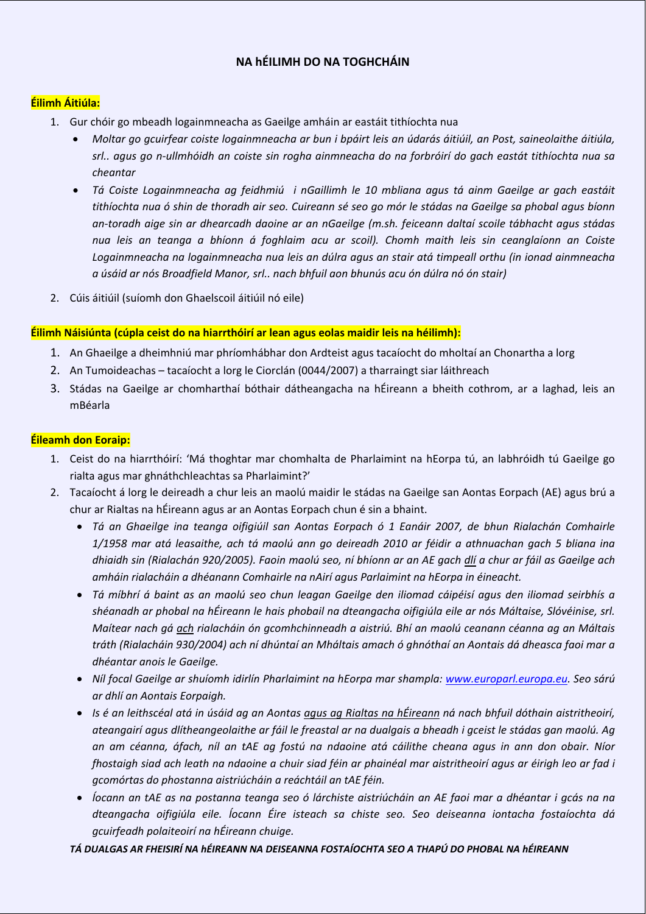# **NA hÉILIMH DO NA TOGHCHÁIN**

## **Éilimh Áitiúla:**

- 1. Gur chóir go mbeadh logainmneacha as Gaeilge amháin ar eastáit tithíochta nua
	- Moltar go gcuirfear coiste logainmneacha ar bun i bpáirt leis an údarás áitiúil, an Post, saineolaithe áitiúla, srl.. agus go n-ullmhóidh an coiste sin rogha ainmneacha do na forbróirí do gach eastát tithíochta nua sa *cheantar*
	- · Tá Coiste Logainmneacha ag feidhmiú i nGaillimh le 10 mbliana agus tá ainm Gaeilge ar gach eastáit tithíochta nua ó shin de thoradh air seo. Cuireann sé seo go mór le stádas na Gaeilge sa phobal agus bíonn an-toradh aige sin ar dhearcadh daoine ar an nGaeilge (m.sh. feiceann daltaí scoile tábhacht agus stádas *nua leis an teanga a bhíonn á foghlaim acu ar scoil). Chomh maith leis sin ceanglaíonn an Coiste Logainmneacha na logainmneacha nua leis an dúlra agus an stair atá timpeall orthu (in ionad ainmneacha a úsáid ar nós Broadfield Manor, srl.. nach bhfuil aon bhunús acu ón dúlra nó ón stair)*
- 2. Cúis áitiúil (suíomh don Ghaelscoil áitiúil nó eile)

### **Éilimh Náisiúnta (cúpla ceist do na hiarrthóirí ar lean agus eolas maidir leis na héilimh):**

- 1. An Ghaeilge a dheimhniú mar phríomhábhar don Ardteist agus tacaíocht do mholtaí an Chonartha a lorg
- 2. An Tumoideachas tacaíocht a lorg le Ciorclán (0044/2007) a tharraingt siar láithreach
- 3. Stádas na Gaeilge ar chomharthaí bóthair dátheangacha na hÉireann a bheith cothrom, ar a laghad, leis an mBéarla

### **Éileamh don Eoraip:**

- 1. Ceist do na hiarrthóirí: 'Má thoghtar mar chomhalta de Pharlaimint na hEorpa tú, an labhróidh tú Gaeilge go rialta agus mar ghnáthchleachtas sa Pharlaimint?'
- 2. Tacaíocht á lorg le deireadh a chur leis an maolú maidir le stádas na Gaeilge san Aontas Eorpach (AE) agus brú a chur ar Rialtas na hÉireann agus ar an Aontas Eorpach chun é sin a bhaint.
	- *Tá an Ghaeilge ina teanga oifigiúil san Aontas Eorpach ó 1 Eanáir 2007, de bhun Rialachán Comhairle* 1/1958 mar atá leasaithe, ach tá maolú ann go deireadh 2010 ar féidir a athnuachan gach 5 bliana ina dhiaidh sin (Rialachán 920/2005). Faoin maolú seo, ní bhíonn ar an AE gach dlí a chur ar fáil as Gaeilge ach *amháin rialacháin a dhéanann Comhairle na nAirí agus Parlaimint na hEorpa in éineacht.*
	- · Tá míbhrí á baint as an maolú seo chun leagan Gaeilge den iliomad cáipéisí agus den iliomad seirbhís a shéanadh ar phobal na hÉireann le hais phobail na dteangacha oifigiúla eile ar nós Máltaise, Slóvéinise, srl. *Maítear nach gá ach rialacháin ón gcomhchinneadh a aistriú. Bhí an maolú ceanann céanna ag an Máltais* tráth (Rialacháin 930/2004) ach ní dhúntaí an Mháltais amach ó ghnóthaí an Aontais dá dheasca faoi mar a *dhéantar anois le Gaeilge.*
	- *Níl focal Gaeilge ar shuíomh idirlín Pharlaimint na hEorpa mar shampla: www.europarl.europa.eu. Seo sárú ar dhlí an Aontais Eorpaigh.*
	- Is é an leithscéal atá in úsáid ag an Aontas agus ag Rialtas na hÉireann ná nach bhfuil dóthain aistritheoirí, ateangairí agus dlítheangeolaithe ar fáil le freastal ar na dualgais a bheadh i gceist le stádas gan maolú. Ag an am céanna, áfach, níl an tAE ag fostú na ndaoine atá cáilithe cheana agus in ann don obair. Níor fhostaigh siad ach leath na ndaoine a chuir siad féin ar phainéal mar aistritheoirí agus ar éirigh leo ar fad i *gcomórtas do phostanna aistriúcháin a reáchtáil an tAE féin.*
	- · Íocann an tAE as na postanna teanga seo ó lárchiste aistriúcháin an AE faoi mar a dhéantar i gcás na na *dteangacha oifigiúla eile. Íocann Éire isteach sa chiste seo. Seo deiseanna iontacha fostaíochta dá gcuirfeadh polaiteoirí na hÉireann chuige.*

### *TÁ DUALGAS AR FHEISIRÍ NA hÉIREANN NA DEISEANNA FOSTAÍOCHTA SEO A THAPÚ DO PHOBAL NA hÉIREANN*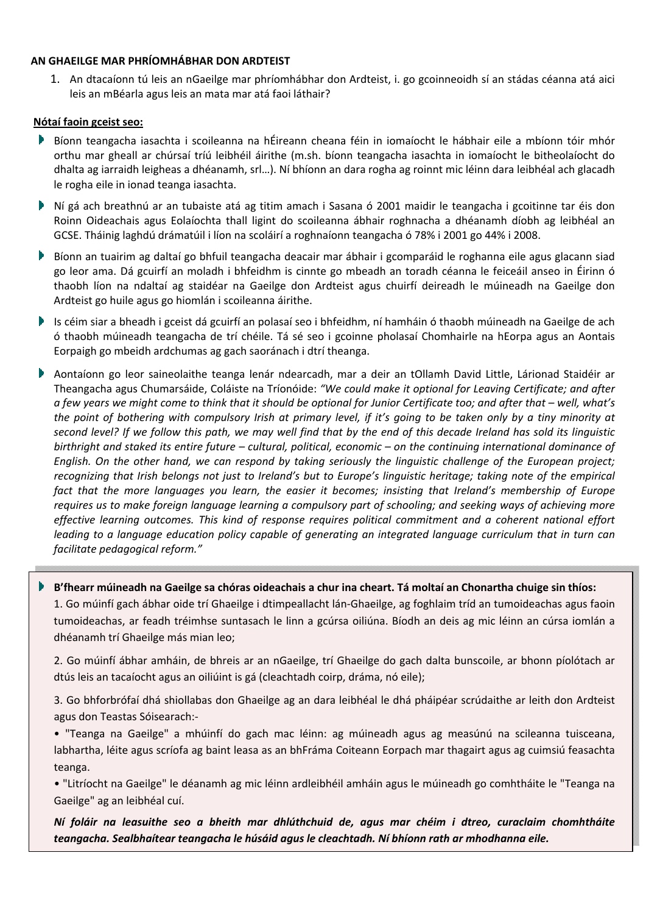### **AN GHAEILGE MAR PHRÍOMHÁBHAR DON ARDTEIST**

1. An dtacaíonn tú leis an nGaeilge mar phríomhábhar don Ardteist, i. go gcoinneoidh sí an stádas céanna atá aici leis an mBéarla agus leis an mata mar atá faoi láthair?

### **Nótaí faoin gceist seo:**

- Bíonn teangacha iasachta i scoileanna na hÉireann cheana féin in iomaíocht le hábhair eile a mbíonn tóir mhór orthu mar gheall ar chúrsaí tríú leibhéil áirithe (m.sh. bíonn teangacha iasachta in iomaíocht le bitheolaíocht do dhalta ag iarraidh leigheas a dhéanamh, srl…). Ní bhíonn an dara rogha ag roinnt mic léinn dara leibhéal ach glacadh le rogha eile in ionad teanga iasachta.
- Ní gá ach breathnú ar an tubaiste atá ag titim amach i Sasana ó 2001 maidir le teangacha i gcoitinne tar éis don Roinn Oideachais agus Eolaíochta thall ligint do scoileanna ábhair roghnacha a dhéanamh díobh ag leibhéal an GCSE. Tháinig laghdú drámatúil i líon na scoláirí a roghnaíonn teangacha ó 78% i 2001 go 44% i 2008.
- Bíonn an tuairim ag daltaí go bhfuil teangacha deacair mar ábhair i gcomparáid le roghanna eile agus glacann siad go leor ama. Dá gcuirfí an moladh i bhfeidhm is cinnte go mbeadh an toradh céanna le feiceáil anseo in Éirinn ó thaobh líon na ndaltaí ag staidéar na Gaeilge don Ardteist agus chuirfí deireadh le múineadh na Gaeilge don Ardteist go huile agus go hiomlán i scoileanna áirithe.
- Is céim siar a bheadh i gceist dá gcuirfí an polasaí seo i bhfeidhm, ní hamháin ó thaobh múineadh na Gaeilge de ach ó thaobh múineadh teangacha de trí chéile. Tá sé seo i gcoinne pholasaí Chomhairle na hEorpa agus an Aontais Eorpaigh go mbeidh ardchumas ag gach saoránach i dtrí theanga.
- Aontaíonn go leor saineolaithe teanga lenár ndearcadh, mar a deir an tOllamh David Little, Lárionad Staidéir ar Theangacha agus Chumarsáide, Coláiste na Tríonóide: *"We could make it optional for Leaving Certificate; and after* a few years we might come to think that it should be optional for Junior Certificate too; and after that – well, what's the point of bothering with compulsory Irish at primary level, if it's going to be taken only by a tiny minority at second level? If we follow this path, we may well find that by the end of this decade Ireland has sold its linguistic birthright and staked its entire future – cultural, political, economic – on the continuing international dominance of English. On the other hand, we can respond by taking seriously the linguistic challenge of the European project; recognizing that Irish belongs not just to Ireland's but to Europe's linguistic heritage; taking note of the empirical fact that the more languages you learn, the easier it becomes; insisting that Ireland's membership of Europe requires us to make foreign language learning a compulsory part of schooling; and seeking ways of achieving more *effective learning outcomes. This kind of response requires political commitment and a coherent national effort* leading to a language education policy capable of generating an integrated language curriculum that in turn can *facilitate pedagogical reform."*

#### Þ B'fhearr múineadh na Gaeilge sa chóras oideachais a chur ina cheart. Tá moltaí an Chonartha chuige sin thíos:

1. Go múinfí gach ábhar oide trí Ghaeilge i dtimpeallacht lán‐Ghaeilge, ag foghlaim tríd an tumoideachas agus faoin tumoideachas, ar feadh tréimhse suntasach le linn a gcúrsa oiliúna. Bíodh an deis ag mic léinn an cúrsa iomlán a dhéanamh trí Ghaeilge más mian leo;

2. Go múinfí ábhar amháin, de bhreis ar an nGaeilge, trí Ghaeilge do gach dalta bunscoile, ar bhonn píolótach ar dtús leis an tacaíocht agus an oiliúint is gá (cleachtadh coirp, dráma, nó eile);

3. Go bhforbrófaí dhá shiollabas don Ghaeilge ag an dara leibhéal le dhá pháipéar scrúdaithe ar leith don Ardteist agus don Teastas Sóisearach:‐

• "Teanga na Gaeilge" a mhúinfí do gach mac léinn: ag múineadh agus ag measúnú na scileanna tuisceana, labhartha, léite agus scríofa ag baint leasa as an bhFráma Coiteann Eorpach mar thagairt agus ag cuimsiú feasachta teanga.

• "Litríocht na Gaeilge" le déanamh ag mic léinn ardleibhéil amháin agus le múineadh go comhtháite le "Teanga na Gaeilge" ag an leibhéal cuí.

*Ní foláir na leasuithe seo a bheith mar dhlúthchuid de, agus mar chéim i dtreo, curaclaim chomhtháite teangacha. Sealbhaítear teangacha le húsáid agus le cleachtadh. Ní bhíonn rath ar mhodhanna eile.*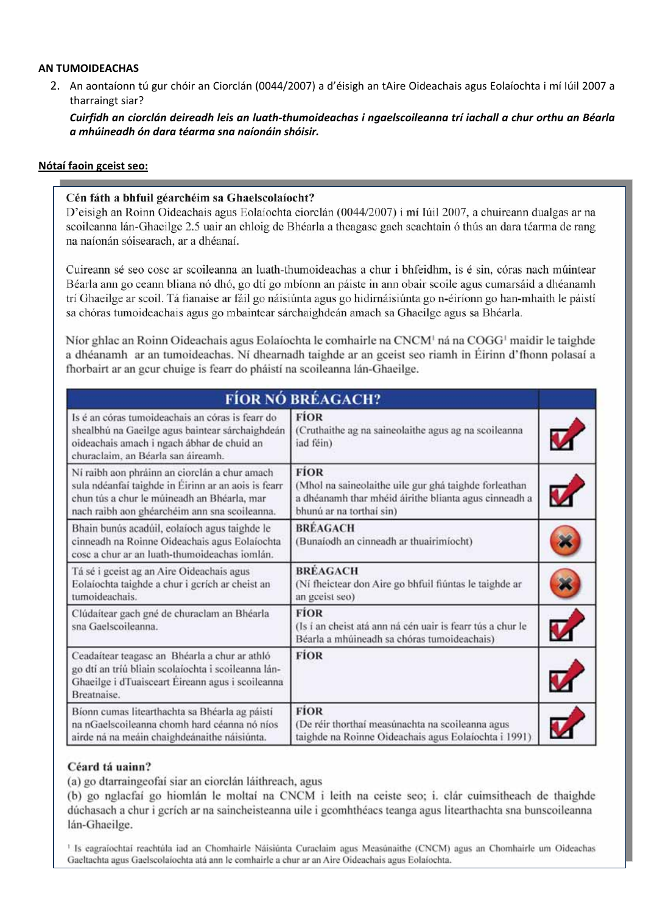#### **AN TUMOIDEACHAS**

2. An aontaíonn tú gur chóir an Ciorclán (0044/2007) a d'éisigh an tAire Oideachais agus Eolaíochta i mí Iúil 2007 a tharraingt siar?

Cuirfidh an ciorclán deireadh leis an luath-thumoideachas i ngaelscoileanna trí iachall a chur orthu an Béarla *a mhúineadh ón dara téarma sna naíonáin shóisir.*

#### **Nótaí faoin gceist seo:**

### Cén fáth a bhfuil géarchéim sa Ghaelscolaíocht?

D'eisigh an Roinn Oideachais agus Eolaíochta ciorclán (0044/2007) i mí Iúil 2007, a chuireann dualgas ar na scoileanna lán-Ghaeilge 2.5 uair an chloig de Bhéarla a theagasc gach seachtain ó thús an dara téarma de rang na naíonán sóisearach, ar a dhéanaí.

Cuireann sé seo cosc ar scoileanna an luath-thumoideachas a chur i bhfeidhm, is é sin, córas nach múintear Béarla ann go ceann bliana nó dhó, go dtí go mbíonn an páiste in ann obair scoile agus cumarsáid a dhéanamh trí Ghaeilge ar scoil. Tá fianaise ar fáil go náisiúnta agus go hidirnáisiúnta go n-éiríonn go han-mhaith le páistí sa chóras tumoideachais agus go mbaintear sárchaighdeán amach sa Ghaeilge agus sa Bhéarla.

Níor ghlac an Roinn Oideachais agus Eolaíochta le comhairle na CNCM<sup>1</sup> ná na COGG<sup>1</sup> maidir le taighde a dhéanamh ar an tumoideachas. Ní dhearnadh taighde ar an gceist seo riamh in Éirinn d'fhonn polasaí a fhorbairt ar an gcur chuige is fearr do pháistí na scoileanna lán-Ghaeilge.

| <b>FÍOR NÓ BRÉAGACH?</b>                                                                                                                                                                             |                                                                                                                                                           |    |
|------------------------------------------------------------------------------------------------------------------------------------------------------------------------------------------------------|-----------------------------------------------------------------------------------------------------------------------------------------------------------|----|
| Is é an córas tumoideachais an córas is fearr do<br>shealbhú na Gaeilge agus baintear sárchaighdeán<br>oideachais amach i ngach ábhar de chuid an<br>churaclaim, an Béarla san áireamh.              | <b>FÍOR</b><br>(Cruthaithe ag na saineolaithe agus ag na scoileanna<br>iad féin)                                                                          |    |
| Ní raibh aon phráinn an ciorclán a chur amach<br>sula ndéanfaí taighde in Éirinn ar an aois is fearr<br>chun tús a chur le múineadh an Bhéarla, mar<br>nach raibh aon ghéarchéim ann sna scoileanna. | <b>FIOR</b><br>(Mhol na saineolaithe uile gur ghá taighde forleathan<br>a dhéanamh thar mhéid áirithe blianta agus cinneadh a<br>bhunú ar na torthaí sin) |    |
| Bhain bunús acadúil, eolaíoch agus taighde le<br>cinneadh na Roinne Oideachais agus Eolaíochta<br>cosc a chur ar an luath-thumoideachas iomlán.                                                      | <b>BRÉAGACH</b><br>(Bunaíodh an cinneadh ar thuairimíocht)                                                                                                |    |
| Tá sé i gceist ag an Aire Oideachais agus<br>Eolaíochta taighde a chur i gcrích ar cheist an<br>tumoideachais.                                                                                       | <b>BREAGACH</b><br>(Ní fheictear don Aire go bhfuil fiúntas le taighde ar<br>an gceist seo)                                                               | č, |
| Clúdaítear gach gné de churaclam an Bhéarla<br>sna Gaelscoileanna.                                                                                                                                   | <b>FÍOR</b><br>(Is i an cheist atá ann ná cén uair is fearr tús a chur le<br>Béarla a mhúineadh sa chóras tumoideachais)                                  |    |
| Ceadaítear teagasc an Bhéarla a chur ar athló<br>go dtí an tríú bliain scolaíochta i scoileanna lán-<br>Ghaeilge i dTuaisceart Éireann agus i scoileanna<br>Breatnaise.                              | <b>FIOR</b>                                                                                                                                               |    |
| Bíonn cumas litearthachta sa Bhéarla ag páistí<br>na nGaelscoileanna chomh hard céanna nó níos<br>airde ná na meáin chaighdeánaithe náisiúnta.                                                       | <b>FÍOR</b><br>(De réir thorthaí measúnachta na scoileanna agus<br>taighde na Roinne Oideachais agus Eolaíochta i 1991)                                   |    |

### Céard tá uainn?

(a) go dtarraingeofaí siar an ciorclán láithreach, agus

(b) go nglacfaí go hiomlán le moltaí na CNCM i leith na ceiste seo; i, clár cuimsitheach de thaighde dúchasach a chur i gcrích ar na saincheisteanna uile i gcomhthéacs teanga agus litearthachta sna bunscoileanna lán-Ghaeilge.

1 Is eagraíochtaí reachtúla iad an Chomhairle Náisiúnta Curaclaim agus Measúnaithe (CNCM) agus an Chomhairle um Oideachas Gaeltachta agus Gaelscolaíochta atá ann le comhairle a chur ar an Aire Oideachais agus Eolaíochta.